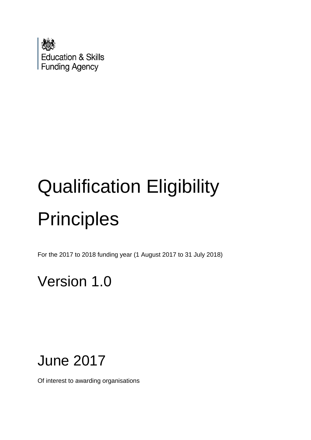

# Qualification Eligibility **Principles**

For the 2017 to 2018 funding year (1 August 2017 to 31 July 2018)

# Version 1.0

# June 2017

Of interest to awarding organisations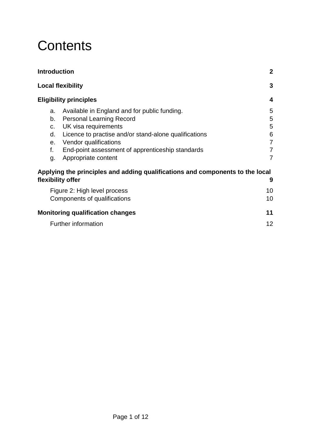# **Contents**

| <b>Introduction</b>                                                           | $\mathbf{2}$   |
|-------------------------------------------------------------------------------|----------------|
| <b>Local flexibility</b>                                                      | 3              |
| <b>Eligibility principles</b>                                                 | 4              |
| Available in England and for public funding.<br>a.                            | 5              |
| <b>Personal Learning Record</b><br>b.                                         | 5              |
| UK visa requirements<br>C.                                                    | 5              |
| Licence to practise and/or stand-alone qualifications<br>d.                   | 6              |
| Vendor qualifications<br>е.                                                   | $\overline{7}$ |
| f.<br>End-point assessment of apprenticeship standards                        | $\overline{7}$ |
| Appropriate content<br>g.                                                     | $\overline{7}$ |
| Applying the principles and adding qualifications and components to the local |                |
| flexibility offer                                                             | 9              |
| Figure 2: High level process                                                  | 10             |
| Components of qualifications                                                  | 10             |
| <b>Monitoring qualification changes</b>                                       | 11             |
| <b>Further information</b>                                                    | 12             |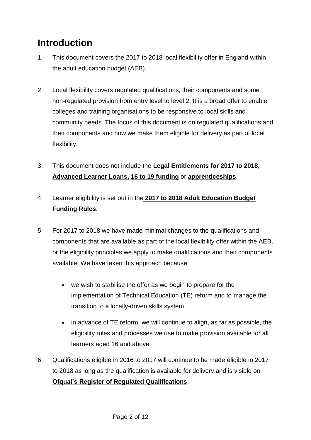## <span id="page-2-0"></span>**Introduction**

- 1. This document covers the 2017 to 2018 local flexibility offer in England within the adult education budget (AEB).
- 2. Local flexibility covers regulated qualifications, their components and some non-regulated provision from entry level to level 2. It is a broad offer to enable colleges and training organisations to be responsive to local skills and community needs. The focus of this document is on regulated qualifications and their components and how we make them eligible for delivery as part of local flexibility.
- 3. This document does not include the **[Legal Entitlements for 2017 to 2018,](https://www.gov.uk/government/publications/qualifications-getting-approval-for-funding) [Advanced Learner Loans,](https://www.gov.uk/government/publications/designating-qualifications-for-advanced-learner-loans) [16 to 19 funding](https://www.gov.uk/government/collections/funding-education-for-16-to-19-year-olds)** or **[apprenticeships](https://www.gov.uk/government/collections/apprenticeship-changes)**.
- 4. Learner eligibility is set out in the **[2017 to 2018 Adult Education Budget](https://www.gov.uk/guidance/sfa-funding-rules)  [Funding Rules](https://www.gov.uk/guidance/sfa-funding-rules)**.
- 5. For 2017 to 2018 we have made minimal changes to the qualifications and components that are available as part of the local flexibility offer within the AEB, or the eligibility principles we apply to make qualifications and their components available. We have taken this approach because:
	- we wish to stabilise the offer as we begin to prepare for the implementation of Technical Education (TE) reform and to manage the transition to a locally-driven skills system
	- in advance of TE reform, we will continue to align, as far as possible, the eligibility rules and processes we use to make provision available for all learners aged 16 and above
- 6. Qualifications eligible in 2016 to 2017 will continue to be made eligible in 2017 to 2018 as long as the qualification is available for delivery and is visible on **Ofqual's Register [of Regulated Qualifications](https://register.ofqual.gov.uk/)**.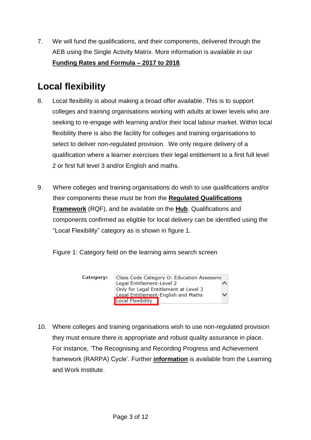7. We will fund the qualifications, and their components, delivered through the AEB using the Single Activity Matrix. More information is available in our **[Funding Rates and Formula –](https://www.gov.uk/government/collections/sfa-funding-rates) 2017 to 2018**.

## <span id="page-3-0"></span>**Local flexibility**

- 8. Local flexibility is about making a broad offer available. This is to support colleges and training organisations working with adults at lower levels who are seeking to re-engage with learning and/or their local labour market. Within local flexibility there is also the facility for colleges and training organisations to select to deliver non-regulated provision. We only require delivery of a qualification where a learner exercises their legal entitlement to a first full level 2 or first full level 3 and/or English and maths.
- 9. Where colleges and training organisations do wish to use qualifications and/or their components these must be from the **[Regulated Qualifications](https://www.gov.uk/government/publications/regulated-qualifications-framework-a-postcard)  [Framework](https://www.gov.uk/government/publications/regulated-qualifications-framework-a-postcard)** (RQF), and be available on the **[Hub](https://hub.imservices.org.uk/Learning%20Aims/Pages/default.aspx)**. Qualifications and components confirmed as eligible for local delivery can be identified using the "Local Flexibility" category as is shown in figure 1.

Figure 1: Category field on the learning aims search screen



10. Where colleges and training organisations wish to use non-regulated provision they must ensure there is appropriate and robust quality assurance in place. For instance, 'The Recognising and Recording Progress and Achievement framework (RARPA) Cycle'. Further **[information](http://www.learningandwork.org.uk/resource/updated-rarpa-guidance-and-case-studies/)** is available from the Learning and Work Institute.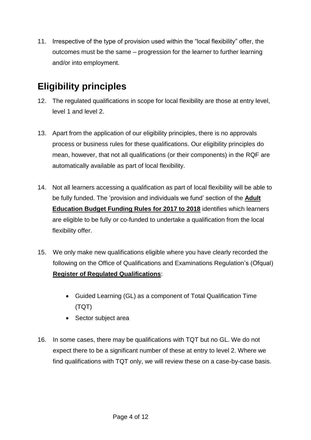11. Irrespective of the type of provision used within the "local flexibility" offer, the outcomes must be the same – progression for the learner to further learning and/or into employment.

### <span id="page-4-0"></span>**Eligibility principles**

- 12. The regulated qualifications in scope for local flexibility are those at entry level, level 1 and level 2.
- 13. Apart from the application of our eligibility principles, there is no approvals process or business rules for these qualifications. Our eligibility principles do mean, however, that not all qualifications (or their components) in the RQF are automatically available as part of local flexibility.
- 14. Not all learners accessing a qualification as part of local flexibility will be able to be fully funded. The 'provision and individuals we fund' section of the **[Adult](https://www.gov.uk/guidance/sfa-funding-rules)  [Education Budget Funding Rules](https://www.gov.uk/guidance/sfa-funding-rules) for 2017 to 2018** identifies which learners are eligible to be fully or co-funded to undertake a qualification from the local flexibility offer.
- 15. We only make new qualifications eligible where you have clearly recorded the following on the Office of Qualifications and Examinations Regulation's (Ofqual) **[Register of Regulated Qualifications](https://register.ofqual.gov.uk/)**:
	- Guided Learning (GL) as a component of Total Qualification Time (TQT)
	- Sector subject area
- 16. In some cases, there may be qualifications with TQT but no GL. We do not expect there to be a significant number of these at entry to level 2. Where we find qualifications with TQT only, we will review these on a case-by-case basis.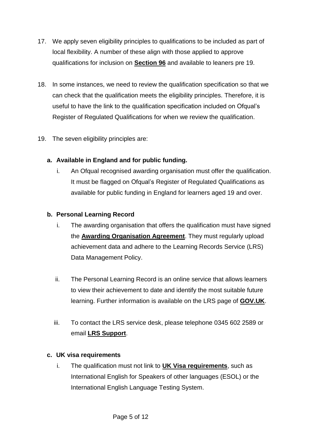- 17. We apply seven eligibility principles to qualifications to be included as part of local flexibility. A number of these align with those applied to approve qualifications for inclusion on **[Section 96](http://www.education.gov.uk/section96/principles.shtml)** and available to leaners pre 19.
- 18. In some instances, we need to review the qualification specification so that we can check that the qualification meets the eligibility principles. Therefore, it is useful to have the link to the qualification specification included on Ofqual's Register of Regulated Qualifications for when we review the qualification.
- 19. The seven eligibility principles are:

#### <span id="page-5-0"></span>**a. Available in England and for public funding.**

i. An Ofqual recognised awarding organisation must offer the qualification. It must be flagged on Ofqual's Register of Regulated Qualifications as available for public funding in England for learners aged 19 and over.

#### <span id="page-5-1"></span>**b. Personal Learning Record**

- i. The awarding organisation that offers the qualification must have signed the **[Awarding Organisation Agreement](https://www.gov.uk/government/publications/lrs-registration-documents)**. They must regularly upload achievement data and adhere to the Learning Records Service (LRS) Data Management Policy.
- ii. The Personal Learning Record is an online service that allows learners to view their achievement to date and identify the most suitable future learning. Further information is available on the LRS page of **[GOV.UK](https://www.gov.uk/topic/further-education-skills/learning-records-service)**.
- iii. To contact the LRS service desk, please telephone 0345 602 2589 or email **[LRS Support](mailto:lrssupport@sfa.bis.gov.uk)**.

#### <span id="page-5-2"></span>**c. UK visa requirements**

i. The qualification must not link to **[UK Visa requirements](https://www.gov.uk/guidance/immigration-rules/immigration-rules-appendix-o-approved-english-language-tests)**, such as International English for Speakers of other languages (ESOL) or the International English Language Testing System.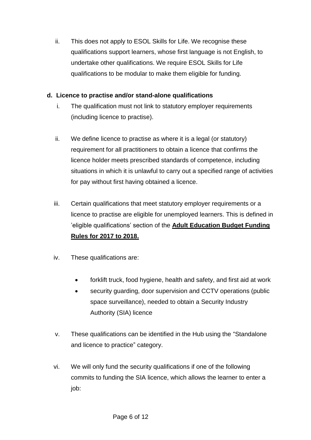ii. This does not apply to ESOL Skills for Life. We recognise these qualifications support learners, whose first language is not English, to undertake other qualifications. We require ESOL Skills for Life qualifications to be modular to make them eligible for funding.

#### <span id="page-6-0"></span>**d. Licence to practise and/or stand-alone qualifications**

- i. The qualification must not link to statutory employer requirements (including licence to practise).
- ii. We define licence to practise as where it is a legal (or statutory) requirement for all practitioners to obtain a licence that confirms the licence holder meets prescribed standards of competence, including situations in which it is unlawful to carry out a specified range of activities for pay without first having obtained a licence.
- iii. Certain qualifications that meet statutory employer requirements or a licence to practise are eligible for unemployed learners. This is defined in 'eligible qualifications' section of the **[Adult Education Budget Funding](https://www.gov.uk/guidance/sfa-funding-rules)  [Rules for 2017 to 2018.](https://www.gov.uk/guidance/sfa-funding-rules)**
- iv. These qualifications are:
	- forklift truck, food hygiene, health and safety, and first aid at work
	- security guarding, door supervision and CCTV operations (public space surveillance), needed to obtain a Security Industry Authority (SIA) licence
- v. These qualifications can be identified in the Hub using the "Standalone and licence to practice" category.
- vi. We will only fund the security qualifications if one of the following commits to funding the SIA licence, which allows the learner to enter a job: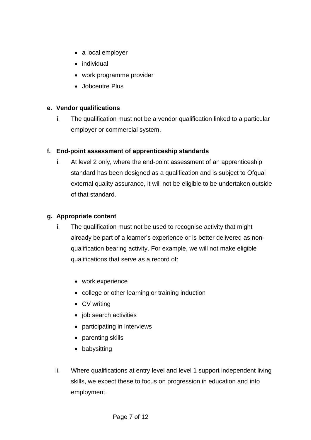- a local employer
- individual
- work programme provider
- Jobcentre Plus

#### <span id="page-7-0"></span>**e. Vendor qualifications**

i. The qualification must not be a vendor qualification linked to a particular employer or commercial system.

#### <span id="page-7-1"></span>**f. End-point assessment of apprenticeship standards**

i. At level 2 only, where the end-point assessment of an apprenticeship standard has been designed as a qualification and is subject to Ofqual external quality assurance, it will not be eligible to be undertaken outside of that standard.

#### <span id="page-7-2"></span>**g. Appropriate content**

- i. The qualification must not be used to recognise activity that might already be part of a learner's experience or is better delivered as nonqualification bearing activity. For example, we will not make eligible qualifications that serve as a record of:
	- work experience
	- college or other learning or training induction
	- CV writing
	- job search activities
	- participating in interviews
	- parenting skills
	- babysitting
- ii. Where qualifications at entry level and level 1 support independent living skills, we expect these to focus on progression in education and into employment.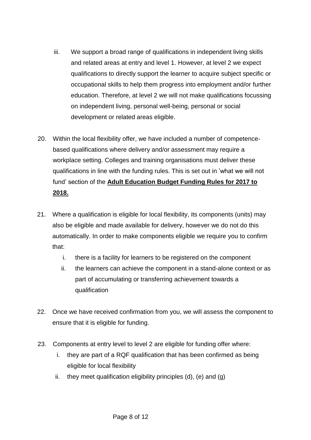- iii. We support a broad range of qualifications in independent living skills and related areas at entry and level 1. However, at level 2 we expect qualifications to directly support the learner to acquire subject specific or occupational skills to help them progress into employment and/or further education. Therefore, at level 2 we will not make qualifications focussing on independent living, personal well-being, personal or social development or related areas eligible.
- 20. Within the local flexibility offer, we have included a number of competencebased qualifications where delivery and/or assessment may require a workplace setting. Colleges and training organisations must deliver these qualifications in line with the funding rules. This is set out in 'what we will not fund' section of the **[Adult Education Budget Funding Rules for 2017 to](https://www.gov.uk/guidance/sfa-funding-rules)  [2018.](https://www.gov.uk/guidance/sfa-funding-rules)**
- 21. Where a qualification is eligible for local flexibility, its components (units) may also be eligible and made available for delivery, however we do not do this automatically. In order to make components eligible we require you to confirm that:
	- i. there is a facility for learners to be registered on the component
	- ii. the learners can achieve the component in a stand-alone context or as part of accumulating or transferring achievement towards a qualification
- 22. Once we have received confirmation from you, we will assess the component to ensure that it is eligible for funding.
- 23. Components at entry level to level 2 are eligible for funding offer where:
	- i. they are part of a RQF qualification that has been confirmed as being eligible for local flexibility
	- ii. they meet qualification eligibility principles  $(d)$ ,  $(e)$  and  $(q)$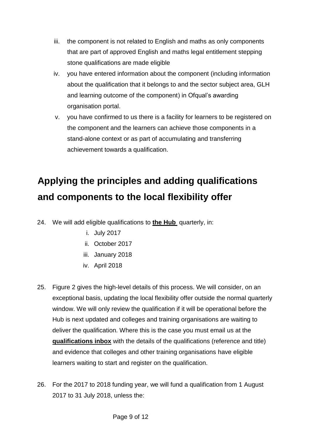- iii. the component is not related to English and maths as only components that are part of approved English and maths legal entitlement stepping stone qualifications are made eligible
- iv. you have entered information about the component (including information about the qualification that it belongs to and the sector subject area, GLH and learning outcome of the component) in Ofqual's awarding organisation portal.
- v. you have confirmed to us there is a facility for learners to be registered on the component and the learners can achieve those components in a stand-alone context or as part of accumulating and transferring achievement towards a qualification.

# <span id="page-9-0"></span>**Applying the principles and adding qualifications and components to the local flexibility offer**

- 24. We will add eligible qualifications to **[the Hub](https://hub.imservices.org.uk/Learning%20Aims/Pages/default.aspx)** quarterly, in:
	- i. July 2017
	- ii. October 2017
	- iii. January 2018
	- iv. April 2018
- 25. Figure 2 gives the high-level details of this process. We will consider, on an exceptional basis, updating the local flexibility offer outside the normal quarterly window. We will only review the qualification if it will be operational before the Hub is next updated and colleges and training organisations are waiting to deliver the qualification. Where this is the case you must email us at the **[qualifications inbox](mailto:qualifications@sfa.bis.gov.uk?subject=Exceptional%20review%20of%20local%20flexibility%20offer)** with the details of the qualifications (reference and title) and evidence that colleges and other training organisations have eligible learners waiting to start and register on the qualification.
- 26. For the 2017 to 2018 funding year, we will fund a qualification from 1 August 2017 to 31 July 2018, unless the: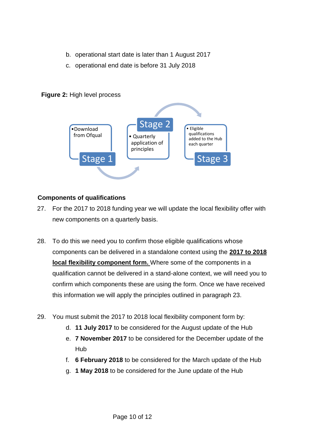- b. operational start date is later than 1 August 2017
- c. operational end date is before 31 July 2018



#### <span id="page-10-0"></span>**Figure 2:** High level process

#### <span id="page-10-1"></span>**Components of qualifications**

- 27. For the 2017 to 2018 funding year we will update the local flexibility offer with new components on a quarterly basis.
- 28. To do this we need you to confirm those eligible qualifications whose components can be delivered in a standalone context using the **[2017 to 2018](https://www.gov.uk/government/publications/qualifications-getting-approval-for-funding)  [local flexibility component form.](https://www.gov.uk/government/publications/qualifications-getting-approval-for-funding)** Where some of the components in a qualification cannot be delivered in a stand-alone context, we will need you to confirm which components these are using the form. Once we have received this information we will apply the principles outlined in paragraph 23.
- <span id="page-10-2"></span>29. You must submit the 2017 to 2018 local flexibility component form by:
	- d. **11 July 2017** to be considered for the August update of the Hub
	- e. **7 November 2017** to be considered for the December update of the Hub
	- f. **6 February 2018** to be considered for the March update of the Hub
	- g. **1 May 2018** to be considered for the June update of the Hub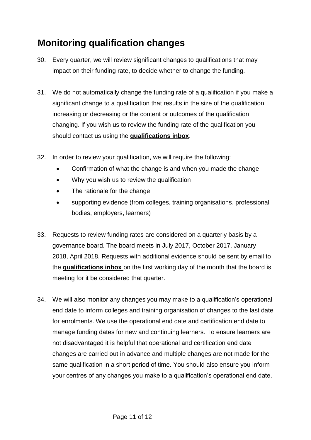## **Monitoring qualification changes**

- 30. Every quarter, we will review significant changes to qualifications that may impact on their funding rate, to decide whether to change the funding.
- 31. We do not automatically change the funding rate of a qualification if you make a significant change to a qualification that results in the size of the qualification increasing or decreasing or the content or outcomes of the qualification changing. If you wish us to review the funding rate of the qualification you should contact us using the **[qualifications inbox](mailto:qualifications@sfa.bis.gov.uk?subject=Funding%20rate%20review)**.
- 32. In order to review your qualification, we will require the following:
	- Confirmation of what the change is and when you made the change
	- Why you wish us to review the qualification
	- The rationale for the change
	- supporting evidence (from colleges, training organisations, professional bodies, employers, learners)
- 33. Requests to review funding rates are considered on a quarterly basis by a governance board. The board meets in July 2017, October 2017, January 2018, April 2018. Requests with additional evidence should be sent by email to the **[qualifications inbox](mailto:qualifications@sfa.bis.gov.uk?subject=Funding%20rate%20review)** on the first working day of the month that the board is meeting for it be considered that quarter.
- 34. We will also monitor any changes you may make to a qualification's operational end date to inform colleges and training organisation of changes to the last date for enrolments. We use the operational end date and certification end date to manage funding dates for new and continuing learners. To ensure learners are not disadvantaged it is helpful that operational and certification end date changes are carried out in advance and multiple changes are not made for the same qualification in a short period of time. You should also ensure you inform your centres of any changes you make to a qualification's operational end date.